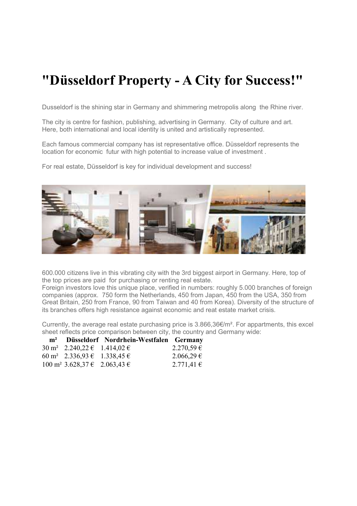## **"Düsseldorf Property - A City for Success!"**

Dusseldorf is the shining star in Germany and shimmering metropolis along the Rhine river.

The city is centre for fashion, publishing, advertising in Germany. City of culture and art. Here, both international and local identity is united and artistically represented.

Each famous commercial company has ist representative office. Düsseldorf represents the location for economic futur with high potential to increase value of investment .

For real estate, Düsseldorf is key for individual development and success!



600.000 citizens live in this vibrating city with the 3rd biggest airport in Germany. Here, top of the top prices are paid for purchasing or renting real estate.

Foreign investors love this unique place, verified in numbers: roughly 5.000 branches of foreign companies (approx. 750 form the Netherlands, 450 from Japan, 450 from the USA, 350 from Great Britain, 250 from France, 90 from Taiwan and 40 from Korea). Diversity of the structure of its branches offers high resistance against economic and reat estate market crisis.

Currently, the average real estate purchasing price is 3.866,36€/m². For appartments, this excel sheet reflects price comparison between city, the country and Germany wide:

|                                                 | m <sup>2</sup> Düsseldorf Nordrhein-Westfalen Germany |                |
|-------------------------------------------------|-------------------------------------------------------|----------------|
| $30 \text{ m}^2$ 2.240,22 $\in$ 1.414,02 $\in$  |                                                       | $2.270,59 \in$ |
| 60 m <sup>2</sup> 2.336,93 $\in$ 1.338,45 $\in$ |                                                       | $2.066,29 \in$ |
| $100 \text{ m}^2$ 3.628,37 $\in$ 2.063,43 $\in$ |                                                       | 2.771,41€      |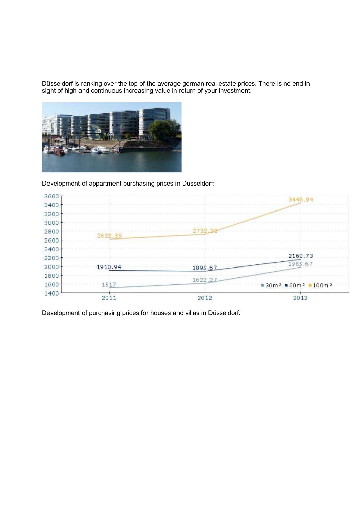Düsseldorf is ranking over the top of the average german real estate prices. There is no end in sight of high and continuous increasing value in return of your investment.



Development of appartment purchasing prices in Düsseldorf:



Development of purchasing prices for houses and villas in Düsseldorf: